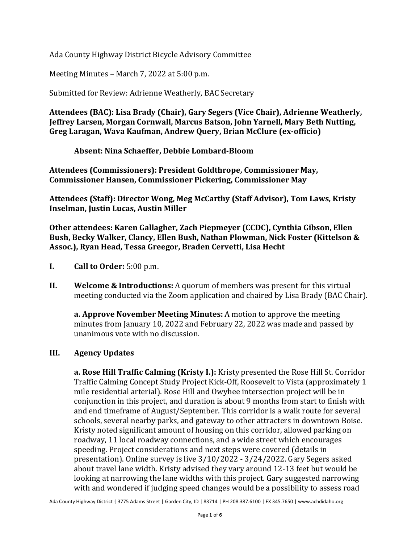Ada County Highway District Bicycle Advisory Committee

Meeting Minutes – March 7, 2022 at 5:00 p.m.

Submitted for Review: Adrienne Weatherly, BAC Secretary

**Attendees (BAC): Lisa Brady (Chair), Gary Segers (Vice Chair), Adrienne Weatherly, Jeffrey Larsen, Morgan Cornwall, Marcus Batson, John Yarnell, Mary Beth Nutting, Greg Laragan, Wava Kaufman, Andrew Query, Brian McClure (ex-officio)**

**Absent: Nina Schaeffer, Debbie Lombard-Bloom**

**Attendees (Commissioners): President Goldthrope, Commissioner May, Commissioner Hansen, Commissioner Pickering, Commissioner May**

**Attendees (Staff): Director Wong, Meg McCarthy (Staff Advisor), Tom Laws, Kristy Inselman, Justin Lucas, Austin Miller**

**Other attendees: Karen Gallagher, Zach Piepmeyer (CCDC), Cynthia Gibson, Ellen Bush, Becky Walker, Clancy, Ellen Bush, Nathan Plowman, Nick Foster (Kittelson & Assoc.), Ryan Head, Tessa Greegor, Braden Cervetti, Lisa Hecht**

- **I. Call to Order:** 5:00 p.m.
- **II. Welcome & Introductions:** A quorum of members was present for this virtual meeting conducted via the Zoom application and chaired by Lisa Brady (BAC Chair).

**a. Approve November Meeting Minutes:** A motion to approve the meeting minutes from January 10, 2022 and February 22, 2022 was made and passed by unanimous vote with no discussion.

## **III. Agency Updates**

**a. Rose Hill Traffic Calming (Kristy I.):** Kristy presented the Rose Hill St. Corridor Traffic Calming Concept Study Project Kick-Off, Roosevelt to Vista (approximately 1 mile residential arterial). Rose Hill and Owyhee intersection project will be in conjunction in this project, and duration is about 9 months from start to finish with and end timeframe of August/September. This corridor is a walk route for several schools, several nearby parks, and gateway to other attracters in downtown Boise. Kristy noted significant amount of housing on this corridor, allowed parking on roadway, 11 local roadway connections, and a wide street which encourages speeding. Project considerations and next steps were covered (details in presentation). Online survey is live 3/10/2022 - 3/24/2022. Gary Segers asked about travel lane width. Kristy advised they vary around 12-13 feet but would be looking at narrowing the lane widths with this project. Gary suggested narrowing with and wondered if judging speed changes would be a possibility to assess road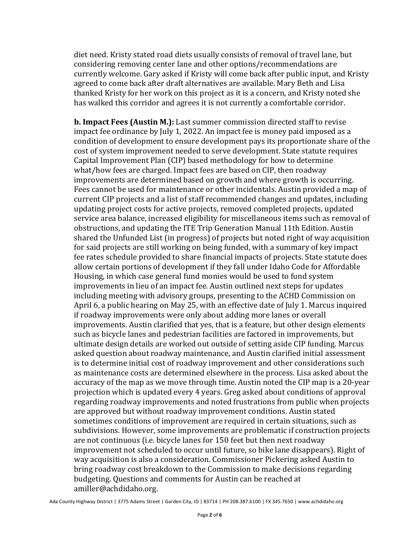diet need. Kristy stated road diets usually consists of removal of travel lane, but considering removing center lane and other options/recommendations are currently welcome. Gary asked if Kristy will come back after public input, and Kristy agreed to come back after draft alternatives are available. Mary Beth and Lisa thanked Kristy for her work on this project as it is a concern, and Kristy noted she has walked this corridor and agrees it is not currently a comfortable corridor.

**b. Impact Fees (Austin M.):** Last summer commission directed staff to revise impact fee ordinance by July 1, 2022. An impact fee is money paid imposed as a condition of development to ensure development pays its proportionate share of the cost of system improvement needed to serve development. State statute requires Capital Improvement Plan (CIP) based methodology for how to determine what/how fees are charged. Impact fees are based on CIP, then roadway improvements are determined based on growth and where growth is occurring. Fees cannot be used for maintenance or other incidentals. Austin provided a map of current CIP projects and a list of staff recommended changes and updates, including updating project costs for active projects, removed completed projects, updated service area balance, increased eligibility for miscellaneous items such as removal of obstructions, and updating the ITE Trip Generation Manual 11th Edition. Austin shared the Unfunded List (in progress) of projects but noted right of way acquisition for said projects are still working on being funded, with a summary of key impact fee rates schedule provided to share financial impacts of projects. State statute does allow certain portions of development if they fall under Idaho Code for Affordable Housing, in which case general fund monies would be used to fund system improvements in lieu of an impact fee. Austin outlined next steps for updates including meeting with advisory groups, presenting to the ACHD Commission on April 6, a public hearing on May 25, with an effective date of July 1. Marcus inquired if roadway improvements were only about adding more lanes or overall improvements. Austin clarified that yes, that is a feature, but other design elements such as bicycle lanes and pedestrian facilities are factored in improvements, but ultimate design details are worked out outside of setting aside CIP funding. Marcus asked question about roadway maintenance, and Austin clarified initial assessment is to determine initial cost of roadway improvement and other considerations such as maintenance costs are determined elsewhere in the process. Lisa asked about the accuracy of the map as we move through time. Austin noted the CIP map is a 20-year projection which is updated every 4 years. Greg asked about conditions of approval regarding roadway improvements and noted frustrations from public when projects are approved but without roadway improvement conditions. Austin stated sometimes conditions of improvement are required in certain situations, such as subdivisions. However, some improvements are problematic if construction projects are not continuous (i.e. bicycle lanes for 150 feet but then next roadway improvement not scheduled to occur until future, so bike lane disappears). Right of way acquisition is also a consideration. Commissioner Pickering asked Austin to bring roadway cost breakdown to the Commission to make decisions regarding budgeting. Questions and comments for Austin can be reached at amiller@achdidaho.org.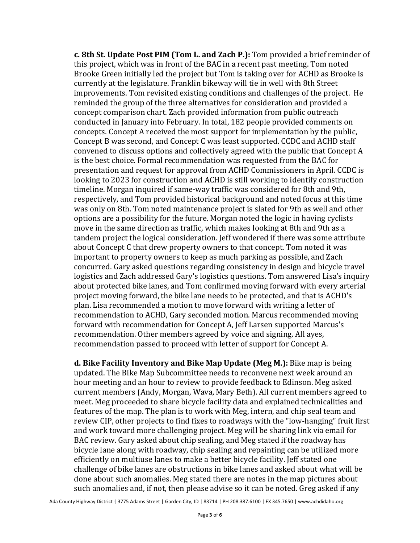**c. 8th St. Update Post PIM (Tom L. and Zach P.):** Tom provided a brief reminder of this project, which was in front of the BAC in a recent past meeting. Tom noted Brooke Green initially led the project but Tom is taking over for ACHD as Brooke is currently at the legislature. Franklin bikeway will tie in well with 8th Street improvements. Tom revisited existing conditions and challenges of the project. He reminded the group of the three alternatives for consideration and provided a concept comparison chart. Zach provided information from public outreach conducted in January into February. In total, 182 people provided comments on concepts. Concept A received the most support for implementation by the public, Concept B was second, and Concept C was least supported. CCDC and ACHD staff convened to discuss options and collectively agreed with the public that Concept A is the best choice. Formal recommendation was requested from the BAC for presentation and request for approval from ACHD Commissioners in April. CCDC is looking to 2023 for construction and ACHD is still working to identify construction timeline. Morgan inquired if same-way traffic was considered for 8th and 9th, respectively, and Tom provided historical background and noted focus at this time was only on 8th. Tom noted maintenance project is slated for 9th as well and other options are a possibility for the future. Morgan noted the logic in having cyclists move in the same direction as traffic, which makes looking at 8th and 9th as a tandem project the logical consideration. Jeff wondered if there was some attribute about Concept C that drew property owners to that concept. Tom noted it was important to property owners to keep as much parking as possible, and Zach concurred. Gary asked questions regarding consistency in design and bicycle travel logistics and Zach addressed Gary's logistics questions. Tom answered Lisa's inquiry about protected bike lanes, and Tom confirmed moving forward with every arterial project moving forward, the bike lane needs to be protected, and that is ACHD's plan. Lisa recommended a motion to move forward with writing a letter of recommendation to ACHD, Gary seconded motion. Marcus recommended moving forward with recommendation for Concept A, Jeff Larsen supported Marcus's recommendation. Other members agreed by voice and signing. All ayes, recommendation passed to proceed with letter of support for Concept A.

**d. Bike Facility Inventory and Bike Map Update (Meg M.):** Bike map is being updated. The Bike Map Subcommittee needs to reconvene next week around an hour meeting and an hour to review to provide feedback to Edinson. Meg asked current members (Andy, Morgan, Wava, Mary Beth). All current members agreed to meet. Meg proceeded to share bicycle facility data and explained technicalities and features of the map. The plan is to work with Meg, intern, and chip seal team and review CIP, other projects to find fixes to roadways with the "low-hanging" fruit first and work toward more challenging project. Meg will be sharing link via email for BAC review. Gary asked about chip sealing, and Meg stated if the roadway has bicycle lane along with roadway, chip sealing and repainting can be utilized more efficiently on multiuse lanes to make a better bicycle facility. Jeff stated one challenge of bike lanes are obstructions in bike lanes and asked about what will be done about such anomalies. Meg stated there are notes in the map pictures about such anomalies and, if not, then please advise so it can be noted. Greg asked if any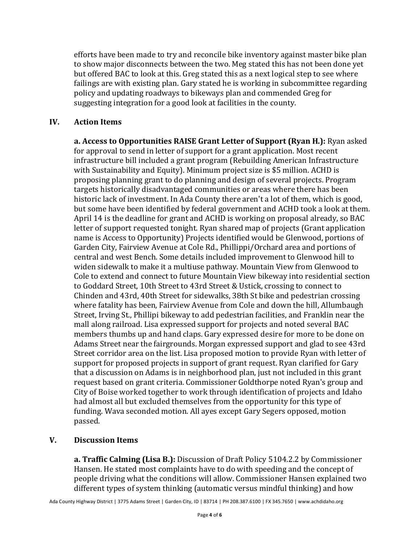efforts have been made to try and reconcile bike inventory against master bike plan to show major disconnects between the two. Meg stated this has not been done yet but offered BAC to look at this. Greg stated this as a next logical step to see where failings are with existing plan. Gary stated he is working in subcommittee regarding policy and updating roadways to bikeways plan and commended Greg for suggesting integration for a good look at facilities in the county.

## **IV. Action Items**

**a. Access to Opportunities RAISE Grant Letter of Support (Ryan H.):** Ryan asked for approval to send in letter of support for a grant application. Most recent infrastructure bill included a grant program (Rebuilding American Infrastructure with Sustainability and Equity). Minimum project size is \$5 million. ACHD is proposing planning grant to do planning and design of several projects. Program targets historically disadvantaged communities or areas where there has been historic lack of investment. In Ada County there aren't a lot of them, which is good, but some have been identified by federal government and ACHD took a look at them. April 14 is the deadline for grant and ACHD is working on proposal already, so BAC letter of support requested tonight. Ryan shared map of projects (Grant application name is Access to Opportunity) Projects identified would be Glenwood, portions of Garden City, Fairview Avenue at Cole Rd., Phillippi/Orchard area and portions of central and west Bench. Some details included improvement to Glenwood hill to widen sidewalk to make it a multiuse pathway. Mountain View from Glenwood to Cole to extend and connect to future Mountain View bikeway into residential section to Goddard Street, 10th Street to 43rd Street & Ustick, crossing to connect to Chinden and 43rd, 40th Street for sidewalks, 38th St bike and pedestrian crossing where fatality has been, Fairview Avenue from Cole and down the hill, Allumbaugh Street, Irving St., Phillipi bikeway to add pedestrian facilities, and Franklin near the mall along railroad. Lisa expressed support for projects and noted several BAC members thumbs up and hand claps. Gary expressed desire for more to be done on Adams Street near the fairgrounds. Morgan expressed support and glad to see 43rd Street corridor area on the list. Lisa proposed motion to provide Ryan with letter of support for proposed projects in support of grant request. Ryan clarified for Gary that a discussion on Adams is in neighborhood plan, just not included in this grant request based on grant criteria. Commissioner Goldthorpe noted Ryan's group and City of Boise worked together to work through identification of projects and Idaho had almost all but excluded themselves from the opportunity for this type of funding. Wava seconded motion. All ayes except Gary Segers opposed, motion passed.

## **V. Discussion Items**

**a. Traffic Calming (Lisa B.):** Discussion of Draft Policy 5104.2.2 by Commissioner Hansen. He stated most complaints have to do with speeding and the concept of people driving what the conditions will allow. Commissioner Hansen explained two different types of system thinking (automatic versus mindful thinking) and how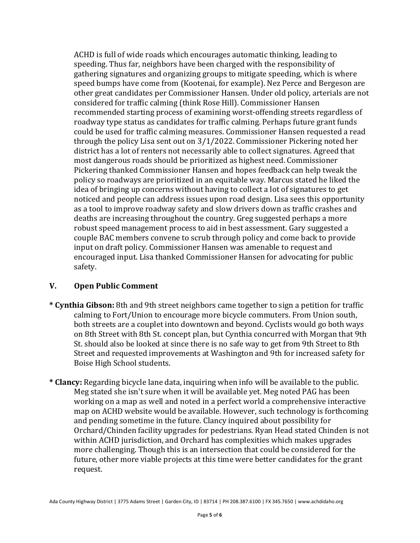ACHD is full of wide roads which encourages automatic thinking, leading to speeding. Thus far, neighbors have been charged with the responsibility of gathering signatures and organizing groups to mitigate speeding, which is where speed bumps have come from (Kootenai, for example). Nez Perce and Bergeson are other great candidates per Commissioner Hansen. Under old policy, arterials are not considered for traffic calming (think Rose Hill). Commissioner Hansen recommended starting process of examining worst-offending streets regardless of roadway type status as candidates for traffic calming. Perhaps future grant funds could be used for traffic calming measures. Commissioner Hansen requested a read through the policy Lisa sent out on 3/1/2022. Commissioner Pickering noted her district has a lot of renters not necessarily able to collect signatures. Agreed that most dangerous roads should be prioritized as highest need. Commissioner Pickering thanked Commissioner Hansen and hopes feedback can help tweak the policy so roadways are prioritized in an equitable way. Marcus stated he liked the idea of bringing up concerns without having to collect a lot of signatures to get noticed and people can address issues upon road design. Lisa sees this opportunity as a tool to improve roadway safety and slow drivers down as traffic crashes and deaths are increasing throughout the country. Greg suggested perhaps a more robust speed management process to aid in best assessment. Gary suggested a couple BAC members convene to scrub through policy and come back to provide input on draft policy. Commissioner Hansen was amenable to request and encouraged input. Lisa thanked Commissioner Hansen for advocating for public safety.

## **V. Open Public Comment**

- **\* Cynthia Gibson:** 8th and 9th street neighbors came together to sign a petition for traffic calming to Fort/Union to encourage more bicycle commuters. From Union south, both streets are a couplet into downtown and beyond. Cyclists would go both ways on 8th Street with 8th St. concept plan, but Cynthia concurred with Morgan that 9th St. should also be looked at since there is no safe way to get from 9th Street to 8th Street and requested improvements at Washington and 9th for increased safety for Boise High School students.
- **\* Clancy:** Regarding bicycle lane data, inquiring when info will be available to the public. Meg stated she isn't sure when it will be available yet. Meg noted PAG has been working on a map as well and noted in a perfect world a comprehensive interactive map on ACHD website would be available. However, such technology is forthcoming and pending sometime in the future. Clancy inquired about possibility for Orchard/Chinden facility upgrades for pedestrians. Ryan Head stated Chinden is not within ACHD jurisdiction, and Orchard has complexities which makes upgrades more challenging. Though this is an intersection that could be considered for the future, other more viable projects at this time were better candidates for the grant request.